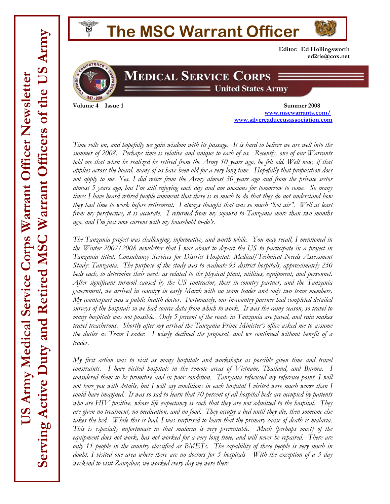# **The MSC Warrant Officer Editor: Ed Hollingsworth ed2rie@cox.net**



# **MEDICAL SERVICE CORPS United States Army**

**Volume 4 Issue 1** Summer 2008  **www.mscwarrants.com/ www.silvercaduceusassociation.com**

*Time rolls on, and hopefully we gain wisdom with its passage. It is hard to believe we are well into the summer of 2008. Perhaps time is relative and unique to each of us. Recently, one of our Warrants*  told me that when he realized he retired from the Army 10 years ago, he felt old. Well now, if that *applies across the board, many of us have been old for a very long time. Hopefully that proposition does not apply to me. Yes, I did retire from the Army almost 30 years ago and from the private sector almost 5 years ago, but I'm still enjoying each day and am anxious for tomorrow to come. So many times I have heard retired people comment that there is so much to do that they do not understand how they had time to work before retirement. I always thought that was so much "hot air". Well at least from my perspective, it is accurate. I returned from my sojourn to Tanzania more than two months ago, and I'm just now current with my household to-do's.* 

*The Tanzania project was challenging, informative, and worth while. You may recall, I mentioned in the Winter 2007/2008 newsletter that I was about to depart the US to participate in a project in Tanzania titled, Consultancy Services for District Hospitals Medical/Technical Needs Assessment Study: Tanzania. The purpose of the study was to evaluate 95 district hospitals, approximately 250 beds each, to determine their needs as related to the physical plant, utilities, equipment, and personnel. After significant turmoil caused by the US contractor, their in-country partner, and the Tanzania government, we arrived in country in early March with no team leader and only two team members. My counterpart was a public health doctor. Fortunately, our in-country partner had completed detailed surveys of the hospitals so we had source data from which to work. It was the rainy season, so travel to many hospitals was not possible. Only 5 percent of the roads in Tanzania are paved, and rain makes travel treacherous. Shortly after my arrival the Tanzania Prime Minister's office asked me to assume the duties as Team Leader. I wisely declined the proposal, and we continued without benefit of a leader.* 

*My first action was to visit as many hospitals and workshops as possible given time and travel constraints. I have visited hospitals in the remote areas of Vietnam, Thailand, and Burma. I considered them to be primitive and in poor condition. Tanzania refocused my reference point. I will not bore you with details, but I will say conditions in each hospital I visited were much worse than I could have imagined. It was so sad to learn that 70 percent of all hospital beds are occupied by patients who are HIV positive, whose life expectancy is such that they are not admitted to the hospital. They are given no treatment, no medication, and no food. They occupy a bed until they die, then someone else takes the bed. While this is bad, I was surprised to learn that the primary cause of death is malaria. This is especially unfortunate in that malaria is very preventable. Much (perhaps most) of the equipment does not work, has not worked for a very long time, and will never be repaired. There are only 11 people in the country classified as BMETs. The capability of these people is very much in doubt. I visited one area where there are no doctors for 5 hospitals With the exception of a 3 day weekend to visit Zanzibar, we worked every day we were there.*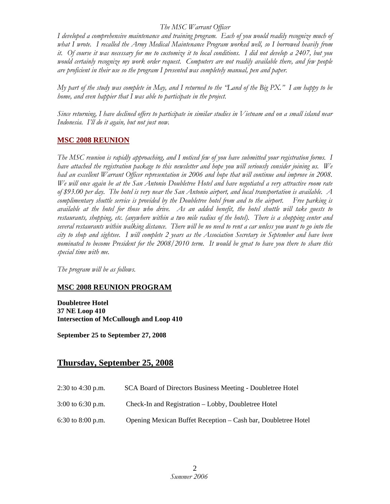### *The MSC Warrant Officer*

*I developed a comprehensive maintenance and training program. Each of you would readily recognize much of what I wrote. I recalled the Army Medical Maintenance Program worked well, so I borrowed heavily from it. Of course it was necessary for me to customize it to local conditions. I did not develop a 2407, but you would certainly recognize my work order request. Computers are not readily available there, and few people are proficient in their use so the program I presented was completely manual, pen and paper.* 

*My part of the study was complete in May, and I returned to the "Land of the Big PX." I am happy to be home, and even happier that I was able to participate in the project.* 

*Since returning, I have declined offers to participate in similar studies in Vietnam and on a small island near Indonesia. I'll do it again, but not just now.* 

### **MSC 2008 REUNION**

*The MSC reunion is rapidly approaching, and I noticed few of you have submitted your registration forms. I have attached the registration package to this newsletter and hope you will seriously consider joining us. We had an excellent Warrant Officer representation in 2006 and hope that will continue and improve in 2008. We will once again be at the San Antonio Doubletree Hotel and have negotiated a very attractive room rate of \$93.00 per day. The hotel is very near the San Antonio airport, and local transportation is available. A complimentary shuttle service is provided by the Doubletree hotel from and to the airport. Free parking is available at the hotel for those who drive. As an added benefit, the hotel shuttle will take guests to restaurants, shopping, etc. (anywhere within a two mile radius of the hotel). There is a shopping center and several restaurants within walking distance. There will be no need to rent a car unless you want to go into the city to shop and sightsee. I will complete 2 years as the Association Secretary in September and have been nominated to become President for the 2008/2010 term. It would be great to have you there to share this special time with me.* 

*The program will be as follows.* 

### **MSC 2008 REUNION PROGRAM**

**Doubletree Hotel 37 NE Loop 410 Intersection of McCullough and Loop 410** 

**September 25 to September 27, 2008** 

## **Thursday, September 25, 2008**

- 2:30 to 4:30 p.m. SCA Board of Directors Business Meeting Doubletree Hotel
- 3:00 to 6:30 p.m. Check-In and Registration Lobby, Doubletree Hotel
- 6:30 to 8:00 p.m. Opening Mexican Buffet Reception Cash bar, Doubletree Hotel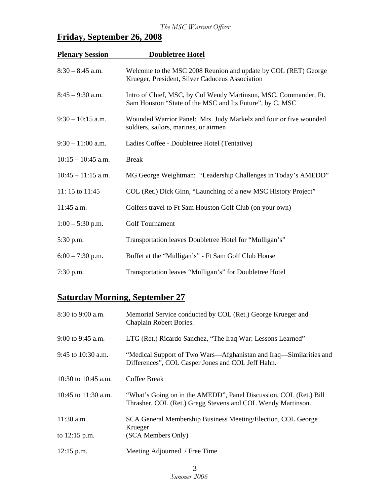# **Friday, September 26, 2008**

| <b>Plenary Session</b> | <b>Doubletree Hotel</b>                                                                                                      |  |
|------------------------|------------------------------------------------------------------------------------------------------------------------------|--|
| $8:30 - 8:45$ a.m.     | Welcome to the MSC 2008 Reunion and update by COL (RET) George<br>Krueger, President, Silver Caduceus Association            |  |
| $8:45 - 9:30$ a.m.     | Intro of Chief, MSC, by Col Wendy Martinson, MSC, Commander, Ft.<br>Sam Houston "State of the MSC and Its Future", by C, MSC |  |
| $9:30 - 10:15$ a.m.    | Wounded Warrior Panel: Mrs. Judy Markelz and four or five wounded<br>soldiers, sailors, marines, or airmen                   |  |
| $9:30 - 11:00$ a.m.    | Ladies Coffee - Doubletree Hotel (Tentative)                                                                                 |  |
| $10:15 - 10:45$ a.m.   | <b>Break</b>                                                                                                                 |  |
| $10:45 - 11:15$ a.m.   | MG George Weightman: "Leadership Challenges in Today's AMEDD"                                                                |  |
| 11:15 to 11:45         | COL (Ret.) Dick Ginn, "Launching of a new MSC History Project"                                                               |  |
| 11:45 a.m.             | Golfers travel to Ft Sam Houston Golf Club (on your own)                                                                     |  |
| $1:00 - 5:30$ p.m.     | <b>Golf Tournament</b>                                                                                                       |  |
| 5:30 p.m.              | Transportation leaves Doubletree Hotel for "Mulligan's"                                                                      |  |
| $6:00 - 7:30$ p.m.     | Buffet at the "Mulligan's" - Ft Sam Golf Club House                                                                          |  |
| $7:30$ p.m.            | Transportation leaves "Mulligan's" for Doubletree Hotel                                                                      |  |

# **Saturday Morning, September 27**

| 8:30 to 9:00 a.m.     | Memorial Service conducted by COL (Ret.) George Krueger and<br>Chaplain Robert Bories.                                           |  |
|-----------------------|----------------------------------------------------------------------------------------------------------------------------------|--|
| $9:00$ to $9:45$ a.m. | LTG (Ret.) Ricardo Sanchez, "The Iraq War: Lessons Learned"                                                                      |  |
| 9:45 to $10:30$ a.m.  | "Medical Support of Two Wars—Afghanistan and Iraq—Similarities and<br>Differences", COL Casper Jones and COL Jeff Hahn.          |  |
| 10:30 to 10:45 a.m.   | Coffee Break                                                                                                                     |  |
| 10:45 to $11:30$ a.m. | "What's Going on in the AMEDD", Panel Discussion, COL (Ret.) Bill<br>Thrasher, COL (Ret.) Gregg Stevens and COL Wendy Martinson. |  |
| $11:30$ a.m.          | SCA General Membership Business Meeting/Election, COL George<br>Krueger                                                          |  |
| to $12:15$ p.m.       | (SCA Members Only)                                                                                                               |  |
| $12:15$ p.m.          | Meeting Adjourned / Free Time                                                                                                    |  |